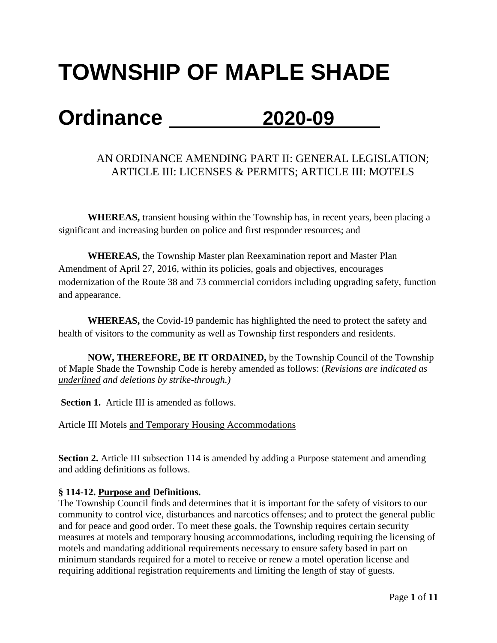# **TOWNSHIP OF MAPLE SHADE**

## **Ordinance 2020-09**

### AN ORDINANCE AMENDING PART II: GENERAL LEGISLATION; ARTICLE III: LICENSES & PERMITS; ARTICLE III: MOTELS

**WHEREAS,** transient housing within the Township has, in recent years, been placing a significant and increasing burden on police and first responder resources; and

**WHEREAS,** the Township Master plan Reexamination report and Master Plan Amendment of April 27, 2016, within its policies, goals and objectives, encourages modernization of the Route 38 and 73 commercial corridors including upgrading safety, function and appearance.

**WHEREAS,** the Covid-19 pandemic has highlighted the need to protect the safety and health of visitors to the community as well as Township first responders and residents.

**NOW, THEREFORE, BE IT ORDAINED,** by the Township Council of the Township of Maple Shade the Township Code is hereby amended as follows: (*Revisions are indicated as underlined and deletions by strike-through.)*

**Section 1.** Article III is amended as follows.

Article III Motels and Temporary Housing Accommodations

**Section 2.** Article III subsection 114 is amended by adding a Purpose statement and amending and adding definitions as follows.

#### **§ 114-12. Purpose and Definitions.**

The Township Council finds and determines that it is important for the safety of visitors to our community to control vice, disturbances and narcotics offenses; and to protect the general public and for peace and good order. To meet these goals, the Township requires certain security measures at motels and temporary housing accommodations, including requiring the licensing of motels and mandating additional requirements necessary to ensure safety based in part on minimum standards required for a motel to receive or renew a motel operation license and requiring additional registration requirements and limiting the length of stay of guests.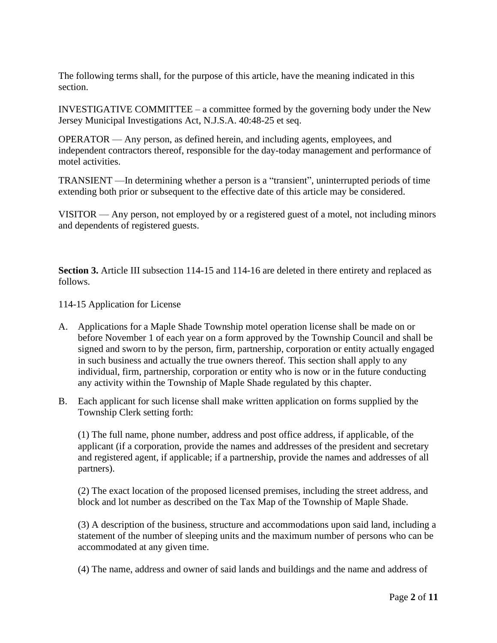The following terms shall, for the purpose of this article, have the meaning indicated in this section.

INVESTIGATIVE COMMITTEE – a committee formed by the governing body under the New Jersey Municipal Investigations Act, N.J.S.A. 40:48-25 et seq.

OPERATOR — Any person, as defined herein, and including agents, employees, and independent contractors thereof, responsible for the day-today management and performance of motel activities.

TRANSIENT —In determining whether a person is a "transient", uninterrupted periods of time extending both prior or subsequent to the effective date of this article may be considered.

VISITOR — Any person, not employed by or a registered guest of a motel, not including minors and dependents of registered guests.

**Section 3.** Article III subsection 114-15 and 114-16 are deleted in there entirety and replaced as follows.

114-15 Application for License

- A. Applications for a Maple Shade Township motel operation license shall be made on or before November 1 of each year on a form approved by the Township Council and shall be signed and sworn to by the person, firm, partnership, corporation or entity actually engaged in such business and actually the true owners thereof. This section shall apply to any individual, firm, partnership, corporation or entity who is now or in the future conducting any activity within the Township of Maple Shade regulated by this chapter.
- B. Each applicant for such license shall make written application on forms supplied by the Township Clerk setting forth:

(1) The full name, phone number, address and post office address, if applicable, of the applicant (if a corporation, provide the names and addresses of the president and secretary and registered agent, if applicable; if a partnership, provide the names and addresses of all partners).

(2) The exact location of the proposed licensed premises, including the street address, and block and lot number as described on the Tax Map of the Township of Maple Shade.

(3) A description of the business, structure and accommodations upon said land, including a statement of the number of sleeping units and the maximum number of persons who can be accommodated at any given time.

(4) The name, address and owner of said lands and buildings and the name and address of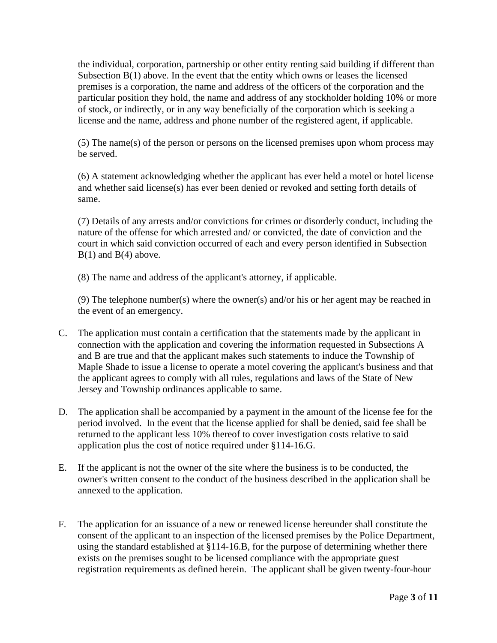the individual, corporation, partnership or other entity renting said building if different than Subsection B(1) above. In the event that the entity which owns or leases the licensed premises is a corporation, the name and address of the officers of the corporation and the particular position they hold, the name and address of any stockholder holding 10% or more of stock, or indirectly, or in any way beneficially of the corporation which is seeking a license and the name, address and phone number of the registered agent, if applicable.

(5) The name(s) of the person or persons on the licensed premises upon whom process may be served.

(6) A statement acknowledging whether the applicant has ever held a motel or hotel license and whether said license(s) has ever been denied or revoked and setting forth details of same.

(7) Details of any arrests and/or convictions for crimes or disorderly conduct, including the nature of the offense for which arrested and/ or convicted, the date of conviction and the court in which said conviction occurred of each and every person identified in Subsection  $B(1)$  and  $B(4)$  above.

(8) The name and address of the applicant's attorney, if applicable.

(9) The telephone number(s) where the owner(s) and/or his or her agent may be reached in the event of an emergency.

- C. The application must contain a certification that the statements made by the applicant in connection with the application and covering the information requested in Subsections A and B are true and that the applicant makes such statements to induce the Township of Maple Shade to issue a license to operate a motel covering the applicant's business and that the applicant agrees to comply with all rules, regulations and laws of the State of New Jersey and Township ordinances applicable to same.
- D. The application shall be accompanied by a payment in the amount of the license fee for the period involved. In the event that the license applied for shall be denied, said fee shall be returned to the applicant less 10% thereof to cover investigation costs relative to said application plus the cost of notice required under §114-16.G.
- E. If the applicant is not the owner of the site where the business is to be conducted, the owner's written consent to the conduct of the business described in the application shall be annexed to the application.
- F. The application for an issuance of a new or renewed license hereunder shall constitute the consent of the applicant to an inspection of the licensed premises by the Police Department, using the standard established at §114-16.B, for the purpose of determining whether there exists on the premises sought to be licensed compliance with the appropriate guest registration requirements as defined herein. The applicant shall be given twenty-four-hour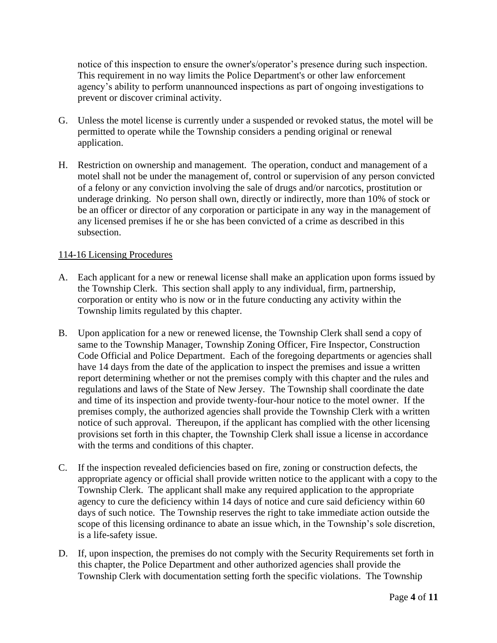notice of this inspection to ensure the owner's/operator's presence during such inspection. This requirement in no way limits the Police Department's or other law enforcement agency's ability to perform unannounced inspections as part of ongoing investigations to prevent or discover criminal activity.

- G. Unless the motel license is currently under a suspended or revoked status, the motel will be permitted to operate while the Township considers a pending original or renewal application.
- H. Restriction on ownership and management. The operation, conduct and management of a motel shall not be under the management of, control or supervision of any person convicted of a felony or any conviction involving the sale of drugs and/or narcotics, prostitution or underage drinking. No person shall own, directly or indirectly, more than 10% of stock or be an officer or director of any corporation or participate in any way in the management of any licensed premises if he or she has been convicted of a crime as described in this subsection.

#### 114-16 Licensing Procedures

- A. Each applicant for a new or renewal license shall make an application upon forms issued by the Township Clerk. This section shall apply to any individual, firm, partnership, corporation or entity who is now or in the future conducting any activity within the Township limits regulated by this chapter.
- B. Upon application for a new or renewed license, the Township Clerk shall send a copy of same to the Township Manager, Township Zoning Officer, Fire Inspector, Construction Code Official and Police Department. Each of the foregoing departments or agencies shall have 14 days from the date of the application to inspect the premises and issue a written report determining whether or not the premises comply with this chapter and the rules and regulations and laws of the State of New Jersey. The Township shall coordinate the date and time of its inspection and provide twenty-four-hour notice to the motel owner. If the premises comply, the authorized agencies shall provide the Township Clerk with a written notice of such approval. Thereupon, if the applicant has complied with the other licensing provisions set forth in this chapter, the Township Clerk shall issue a license in accordance with the terms and conditions of this chapter.
- C. If the inspection revealed deficiencies based on fire, zoning or construction defects, the appropriate agency or official shall provide written notice to the applicant with a copy to the Township Clerk. The applicant shall make any required application to the appropriate agency to cure the deficiency within 14 days of notice and cure said deficiency within 60 days of such notice. The Township reserves the right to take immediate action outside the scope of this licensing ordinance to abate an issue which, in the Township's sole discretion, is a life-safety issue.
- D. If, upon inspection, the premises do not comply with the Security Requirements set forth in this chapter, the Police Department and other authorized agencies shall provide the Township Clerk with documentation setting forth the specific violations. The Township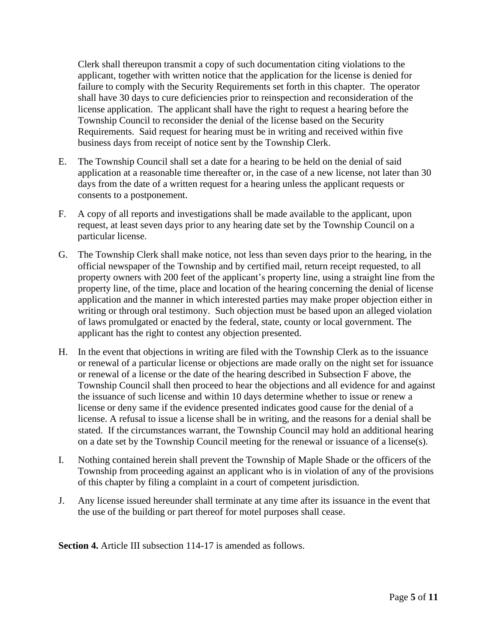Clerk shall thereupon transmit a copy of such documentation citing violations to the applicant, together with written notice that the application for the license is denied for failure to comply with the Security Requirements set forth in this chapter. The operator shall have 30 days to cure deficiencies prior to reinspection and reconsideration of the license application. The applicant shall have the right to request a hearing before the Township Council to reconsider the denial of the license based on the Security Requirements. Said request for hearing must be in writing and received within five business days from receipt of notice sent by the Township Clerk.

- E. The Township Council shall set a date for a hearing to be held on the denial of said application at a reasonable time thereafter or, in the case of a new license, not later than 30 days from the date of a written request for a hearing unless the applicant requests or consents to a postponement.
- F. A copy of all reports and investigations shall be made available to the applicant, upon request, at least seven days prior to any hearing date set by the Township Council on a particular license.
- G. The Township Clerk shall make notice, not less than seven days prior to the hearing, in the official newspaper of the Township and by certified mail, return receipt requested, to all property owners with 200 feet of the applicant's property line, using a straight line from the property line, of the time, place and location of the hearing concerning the denial of license application and the manner in which interested parties may make proper objection either in writing or through oral testimony. Such objection must be based upon an alleged violation of laws promulgated or enacted by the federal, state, county or local government. The applicant has the right to contest any objection presented.
- H. In the event that objections in writing are filed with the Township Clerk as to the issuance or renewal of a particular license or objections are made orally on the night set for issuance or renewal of a license or the date of the hearing described in Subsection F above, the Township Council shall then proceed to hear the objections and all evidence for and against the issuance of such license and within 10 days determine whether to issue or renew a license or deny same if the evidence presented indicates good cause for the denial of a license. A refusal to issue a license shall be in writing, and the reasons for a denial shall be stated. If the circumstances warrant, the Township Council may hold an additional hearing on a date set by the Township Council meeting for the renewal or issuance of a license(s).
- I. Nothing contained herein shall prevent the Township of Maple Shade or the officers of the Township from proceeding against an applicant who is in violation of any of the provisions of this chapter by filing a complaint in a court of competent jurisdiction.
- J. Any license issued hereunder shall terminate at any time after its issuance in the event that the use of the building or part thereof for motel purposes shall cease.

**Section 4.** Article III subsection 114-17 is amended as follows.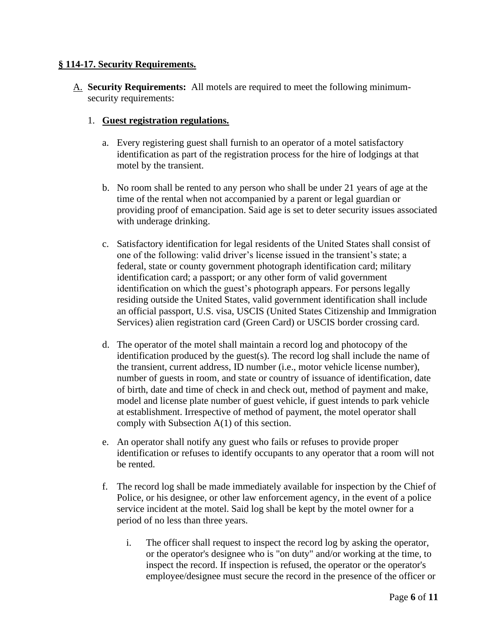#### **§ 114-17. Security Requirements.**

A. **Security Requirements:** All motels are required to meet the following minimumsecurity requirements:

#### 1. **Guest registration regulations.**

- a. Every registering guest shall furnish to an operator of a motel satisfactory identification as part of the registration process for the hire of lodgings at that motel by the transient.
- b. No room shall be rented to any person who shall be under 21 years of age at the time of the rental when not accompanied by a parent or legal guardian or providing proof of emancipation. Said age is set to deter security issues associated with underage drinking.
- c. Satisfactory identification for legal residents of the United States shall consist of one of the following: valid driver's license issued in the transient's state; a federal, state or county government photograph identification card; military identification card; a passport; or any other form of valid government identification on which the guest's photograph appears. For persons legally residing outside the United States, valid government identification shall include an official passport, U.S. visa, USCIS (United States Citizenship and Immigration Services) alien registration card (Green Card) or USCIS border crossing card.
- d. The operator of the motel shall maintain a record log and photocopy of the identification produced by the guest(s). The record log shall include the name of the transient, current address, ID number (i.e., motor vehicle license number), number of guests in room, and state or country of issuance of identification, date of birth, date and time of check in and check out, method of payment and make, model and license plate number of guest vehicle, if guest intends to park vehicle at establishment. Irrespective of method of payment, the motel operator shall comply with Subsection A(1) of this section.
- e. An operator shall notify any guest who fails or refuses to provide proper identification or refuses to identify occupants to any operator that a room will not be rented.
- f. The record log shall be made immediately available for inspection by the Chief of Police, or his designee, or other law enforcement agency, in the event of a police service incident at the motel. Said log shall be kept by the motel owner for a period of no less than three years.
	- i. The officer shall request to inspect the record log by asking the operator, or the operator's designee who is "on duty" and/or working at the time, to inspect the record. If inspection is refused, the operator or the operator's employee/designee must secure the record in the presence of the officer or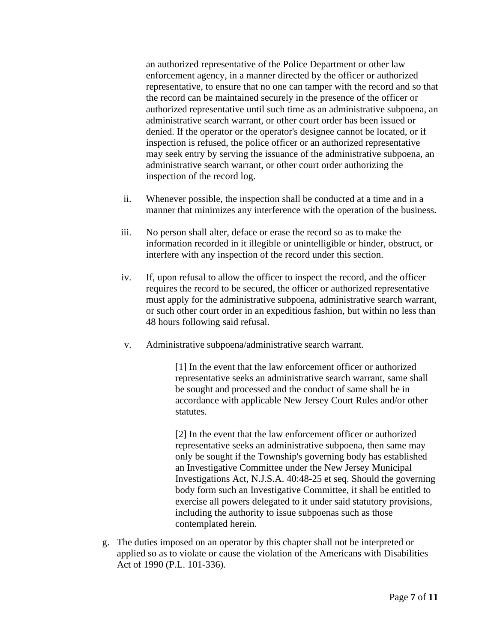an authorized representative of the Police Department or other law enforcement agency, in a manner directed by the officer or authorized representative, to ensure that no one can tamper with the record and so that the record can be maintained securely in the presence of the officer or authorized representative until such time as an administrative subpoena, an administrative search warrant, or other court order has been issued or denied. If the operator or the operator's designee cannot be located, or if inspection is refused, the police officer or an authorized representative may seek entry by serving the issuance of the administrative subpoena, an administrative search warrant, or other court order authorizing the inspection of the record log.

- ii. Whenever possible, the inspection shall be conducted at a time and in a manner that minimizes any interference with the operation of the business.
- iii. No person shall alter, deface or erase the record so as to make the information recorded in it illegible or unintelligible or hinder, obstruct, or interfere with any inspection of the record under this section.
- iv. If, upon refusal to allow the officer to inspect the record, and the officer requires the record to be secured, the officer or authorized representative must apply for the administrative subpoena, administrative search warrant, or such other court order in an expeditious fashion, but within no less than 48 hours following said refusal.
- v. Administrative subpoena/administrative search warrant.

[1] In the event that the law enforcement officer or authorized representative seeks an administrative search warrant, same shall be sought and processed and the conduct of same shall be in accordance with applicable New Jersey Court Rules and/or other statutes.

[2] In the event that the law enforcement officer or authorized representative seeks an administrative subpoena, then same may only be sought if the Township's governing body has established an Investigative Committee under the New Jersey Municipal Investigations Act, N.J.S.A. 40:48-25 et seq. Should the governing body form such an Investigative Committee, it shall be entitled to exercise all powers delegated to it under said statutory provisions, including the authority to issue subpoenas such as those contemplated herein.

g. The duties imposed on an operator by this chapter shall not be interpreted or applied so as to violate or cause the violation of the Americans with Disabilities Act of 1990 (P.L. 101-336).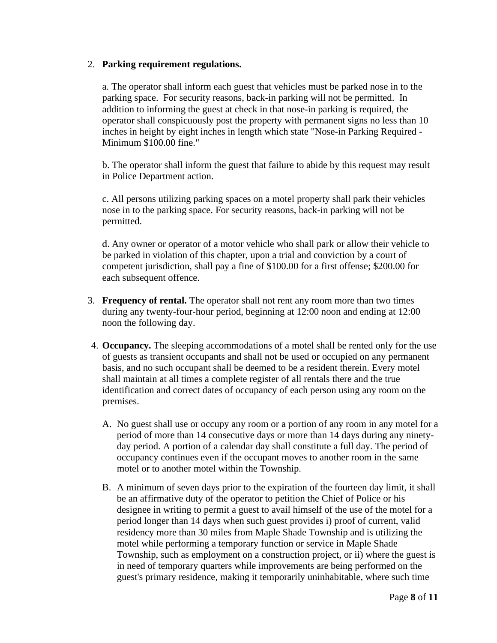#### 2. **Parking requirement regulations.**

a. The operator shall inform each guest that vehicles must be parked nose in to the parking space. For security reasons, back-in parking will not be permitted. In addition to informing the guest at check in that nose-in parking is required, the operator shall conspicuously post the property with permanent signs no less than 10 inches in height by eight inches in length which state "Nose-in Parking Required - Minimum \$100.00 fine."

b. The operator shall inform the guest that failure to abide by this request may result in Police Department action.

c. All persons utilizing parking spaces on a motel property shall park their vehicles nose in to the parking space. For security reasons, back-in parking will not be permitted.

d. Any owner or operator of a motor vehicle who shall park or allow their vehicle to be parked in violation of this chapter, upon a trial and conviction by a court of competent jurisdiction, shall pay a fine of \$100.00 for a first offense; \$200.00 for each subsequent offence.

- 3. **Frequency of rental.** The operator shall not rent any room more than two times during any twenty-four-hour period, beginning at 12:00 noon and ending at 12:00 noon the following day.
- 4. **Occupancy.** The sleeping accommodations of a motel shall be rented only for the use of guests as transient occupants and shall not be used or occupied on any permanent basis, and no such occupant shall be deemed to be a resident therein. Every motel shall maintain at all times a complete register of all rentals there and the true identification and correct dates of occupancy of each person using any room on the premises.
	- A. No guest shall use or occupy any room or a portion of any room in any motel for a period of more than 14 consecutive days or more than 14 days during any ninetyday period. A portion of a calendar day shall constitute a full day. The period of occupancy continues even if the occupant moves to another room in the same motel or to another motel within the Township.
	- B. A minimum of seven days prior to the expiration of the fourteen day limit, it shall be an affirmative duty of the operator to petition the Chief of Police or his designee in writing to permit a guest to avail himself of the use of the motel for a period longer than 14 days when such guest provides i) proof of current, valid residency more than 30 miles from Maple Shade Township and is utilizing the motel while performing a temporary function or service in Maple Shade Township, such as employment on a construction project, or ii) where the guest is in need of temporary quarters while improvements are being performed on the guest's primary residence, making it temporarily uninhabitable, where such time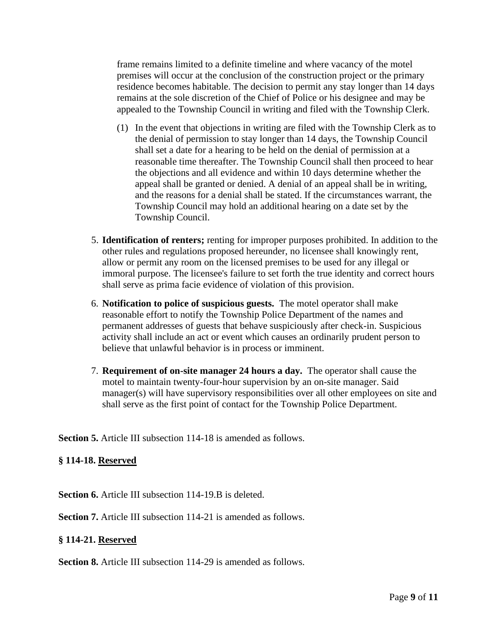frame remains limited to a definite timeline and where vacancy of the motel premises will occur at the conclusion of the construction project or the primary residence becomes habitable. The decision to permit any stay longer than 14 days remains at the sole discretion of the Chief of Police or his designee and may be appealed to the Township Council in writing and filed with the Township Clerk.

- (1) In the event that objections in writing are filed with the Township Clerk as to the denial of permission to stay longer than 14 days, the Township Council shall set a date for a hearing to be held on the denial of permission at a reasonable time thereafter. The Township Council shall then proceed to hear the objections and all evidence and within 10 days determine whether the appeal shall be granted or denied. A denial of an appeal shall be in writing, and the reasons for a denial shall be stated. If the circumstances warrant, the Township Council may hold an additional hearing on a date set by the Township Council.
- 5. **Identification of renters;** renting for improper purposes prohibited. In addition to the other rules and regulations proposed hereunder, no licensee shall knowingly rent, allow or permit any room on the licensed premises to be used for any illegal or immoral purpose. The licensee's failure to set forth the true identity and correct hours shall serve as prima facie evidence of violation of this provision.
- 6. **Notification to police of suspicious guests.** The motel operator shall make reasonable effort to notify the Township Police Department of the names and permanent addresses of guests that behave suspiciously after check-in. Suspicious activity shall include an act or event which causes an ordinarily prudent person to believe that unlawful behavior is in process or imminent.
- 7. **Requirement of on-site manager 24 hours a day.** The operator shall cause the motel to maintain twenty-four-hour supervision by an on-site manager. Said manager(s) will have supervisory responsibilities over all other employees on site and shall serve as the first point of contact for the Township Police Department.

**Section 5.** Article III subsection 114-18 is amended as follows.

#### **§ 114-18. Reserved**

**Section 6.** Article III subsection 114-19.B is deleted.

**Section 7.** Article III subsection 114-21 is amended as follows.

#### **§ 114-21. Reserved**

**Section 8.** Article III subsection 114-29 is amended as follows.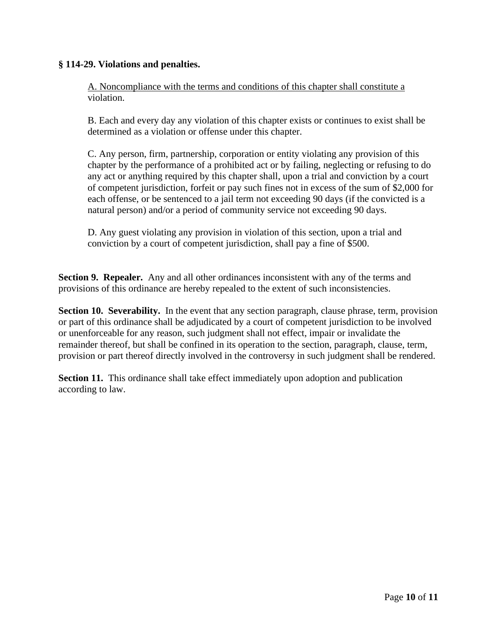#### **§ 114-29. Violations and penalties.**

A. Noncompliance with the terms and conditions of this chapter shall constitute a violation.

B. Each and every day any violation of this chapter exists or continues to exist shall be determined as a violation or offense under this chapter.

C. Any person, firm, partnership, corporation or entity violating any provision of this chapter by the performance of a prohibited act or by failing, neglecting or refusing to do any act or anything required by this chapter shall, upon a trial and conviction by a court of competent jurisdiction, forfeit or pay such fines not in excess of the sum of \$2,000 for each offense, or be sentenced to a jail term not exceeding 90 days (if the convicted is a natural person) and/or a period of community service not exceeding 90 days.

D. Any guest violating any provision in violation of this section, upon a trial and conviction by a court of competent jurisdiction, shall pay a fine of \$500.

**Section 9. Repealer.** Any and all other ordinances inconsistent with any of the terms and provisions of this ordinance are hereby repealed to the extent of such inconsistencies.

**Section 10. Severability.** In the event that any section paragraph, clause phrase, term, provision or part of this ordinance shall be adjudicated by a court of competent jurisdiction to be involved or unenforceable for any reason, such judgment shall not effect, impair or invalidate the remainder thereof, but shall be confined in its operation to the section, paragraph, clause, term, provision or part thereof directly involved in the controversy in such judgment shall be rendered.

**Section 11.** This ordinance shall take effect immediately upon adoption and publication according to law.